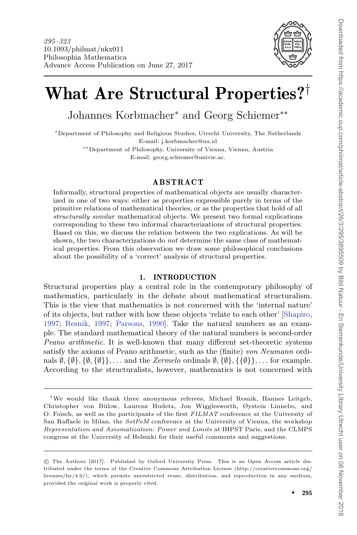

# **What Are Structural Properties?**†

Johannes Korbmacher<sup>∗</sup> and Georg Schiemer∗∗

∗Department of Philosophy and Religious Studies, Utrecht University, The Netherlands E-mail: j.korbmacher@uu.nl

∗∗Department of Philosophy, University of Vienna, Vienna, Austria E-mail: georg.schiemer@univie.ac.

## **ABSTRACT**

Informally, structural properties of mathematical objects are usually characterized in one of two ways: either as properties expressible purely in terms of the primitive relations of mathematical theories, or as the properties that hold of all structurally similar mathematical objects. We present two formal explications corresponding to these two informal characterizations of structural properties. Based on this, we discuss the relation between the two explications. As will be shown, the two characterizations do not determine the same class of mathematical properties. From this observation we draw some philosophical conclusions about the possibility of a 'correct' analysis of structural properties.

#### **1. INTRODUCTION**

Structural properties play a central role in the contemporary philosophy of mathematics, particularly in the debate about mathematical structuralism. This is the view that mathematics is not concerned with the 'internal nature' of its objects, but rather with how these objects 'relate to each other' [\[Shapiro,](#page-27-0) [1997](#page-27-0); [Resnik](#page-27-0), [1997](#page-27-0); [Parsons](#page-27-0), [1990](#page-27-0)]. Take the natural numbers as an example. The standard mathematical theory of the natural numbers is second-order Peano arithmetic. It is well-known that many different set-theoretic systems satisfy the axioms of Peano arithmetic, such as the (finite) von Neumann ordinals  $\emptyset$ ,  $\{\emptyset\}$ ,  $\{\emptyset\}$ ,  $\{\emptyset\}$ ,... and the *Zermelo* ordinals  $\emptyset$ ,  $\{\emptyset\}$ ,  $\{\{\emptyset\}\}\$ ,... for example. According to the structuralists, however, mathematics is not concerned with

<sup>†</sup>We would like thank three anonymous referees, Michael Resnik, Hannes Leitgeb, Christopher von Bülow, Laurenz Hudetz, Jon Wigglesworth, Øystein Linnebo, and O. Foisch, as well as the participants of the first FILMAT conference at the University of San Raffaele in Milan, the SotFoM conference at the University of Vienna, the workshop Representation and Axiomatization: Power and Limits at IHPST Paris, and the CLMPS congress at the University of Helsinki for their useful comments and suggestions.

<sup>©</sup> The Authors [2017]. Published by Oxford University Press. This is an Open Access article distributed under the terms of the Creative Commons Attribution License (http://creativecommons.org/ licenses/by/4.0/), which permits unrestricted reuse, distribution, and reproduction in any medium, provided the original work is properly cited.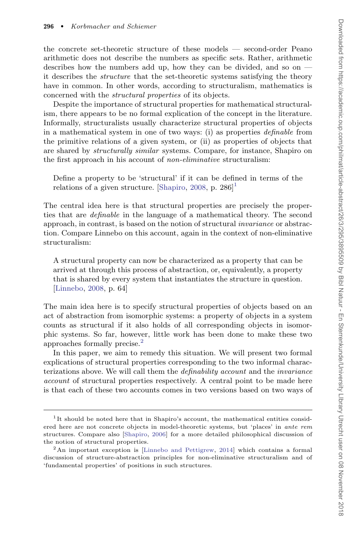the concrete set-theoretic structure of these models — second-order Peano arithmetic does not describe the numbers as specific sets. Rather, arithmetic describes how the numbers add up, how they can be divided, and so on it describes the structure that the set-theoretic systems satisfying the theory have in common. In other words, according to structuralism, mathematics is concerned with the structural properties of its objects.

Despite the importance of structural properties for mathematical structuralism, there appears to be no formal explication of the concept in the literature. Informally, structuralists usually characterize structural properties of objects in a mathematical system in one of two ways: (i) as properties definable from the primitive relations of a given system, or (ii) as properties of objects that are shared by structurally similar systems. Compare, for instance, Shapiro on the first approach in his account of non-eliminative structuralism:

Define a property to be 'structural' if it can be defined in terms of the relations of a given structure. [\[Shapiro,](#page-27-0) [2008,](#page-27-0) p.  $286$ ]<sup>1</sup>

The central idea here is that structural properties are precisely the properties that are definable in the language of a mathematical theory. The second approach, in contrast, is based on the notion of structural invariance or abstraction. Compare Linnebo on this account, again in the context of non-eliminative structuralism:

A structural property can now be characterized as a property that can be arrived at through this process of abstraction, or, equivalently, a property that is shared by every system that instantiates the structure in question. [\[Linnebo](#page-27-0), [2008](#page-27-0), p. 64]

The main idea here is to specify structural properties of objects based on an act of abstraction from isomorphic systems: a property of objects in a system counts as structural if it also holds of all corresponding objects in isomorphic systems. So far, however, little work has been done to make these two approaches formally precise.<sup>2</sup>

In this paper, we aim to remedy this situation. We will present two formal explications of structural properties corresponding to the two informal characterizations above. We will call them the definability account and the invariance account of structural properties respectively. A central point to be made here is that each of these two accounts comes in two versions based on two ways of

<sup>&</sup>lt;sup>1</sup>It should be noted here that in Shapiro's account, the mathematical entities considered here are not concrete objects in model-theoretic systems, but 'places' in ante rem structures. Compare also [\[Shapiro](#page-27-0), [2006](#page-27-0)] for a more detailed philosophical discussion of the notion of structural properties.

<sup>2</sup>An important exception is [\[Linnebo and Pettigrew](#page-27-0), [2014](#page-27-0)] which contains a formal discussion of structure-abstraction principles for non-eliminative structuralism and of 'fundamental properties' of positions in such structures.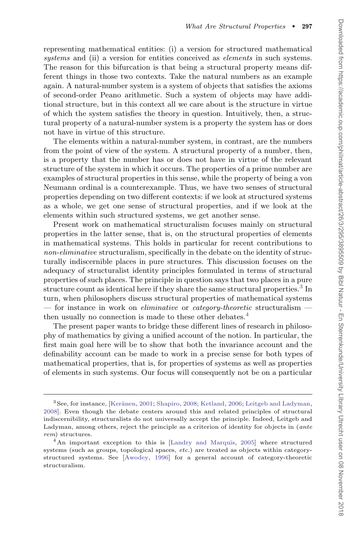representing mathematical entities: (i) a version for structured mathematical systems and (ii) a version for entities conceived as *elements* in such systems. The reason for this bifurcation is that being a structural property means different things in those two contexts. Take the natural numbers as an example again. A natural-number system is a system of objects that satisfies the axioms of second-order Peano arithmetic. Such a system of objects may have additional structure, but in this context all we care about is the structure in virtue of which the system satisfies the theory in question. Intuitively, then, a structural property of a natural-number system is a property the system has or does not have in virtue of this structure.

The elements within a natural-number system, in contrast, are the numbers from the point of view of the system. A structural property of a number, then, is a property that the number has or does not have in virtue of the relevant structure of the system in which it occurs. The properties of a prime number are examples of structural properties in this sense, while the property of being a von Neumann ordinal is a counterexample. Thus, we have two senses of structural properties depending on two different contexts: if we look at structured systems as a whole, we get one sense of structural properties, and if we look at the elements within such structured systems, we get another sense.

Present work on mathematical structuralism focuses mainly on structural properties in the latter sense, that is, on the structural properties of elements in mathematical systems. This holds in particular for recent contributions to non-eliminative structuralism, specifically in the debate on the identity of structurally indiscernible places in pure structures. This discussion focuses on the adequacy of structuralist identity principles formulated in terms of structural properties of such places. The principle in question says that two places in a pure structure count as identical here if they share the same structural properties.<sup>3</sup> In turn, when philosophers discuss structural properties of mathematical systems — for instance in work on *eliminative* or *category-theoretic* structuralism  $\overline{\phantom{a}}$ then usually no connection is made to these other debates.<sup>4</sup>

The present paper wants to bridge these different lines of research in philosophy of mathematics by giving a unified account of the notion. In particular, the first main goal here will be to show that both the invariance account and the definability account can be made to work in a precise sense for both types of mathematical properties, that is, for properties of systems as well as properties of elements in such systems. Our focus will consequently not be on a particular

<sup>&</sup>lt;sup>3</sup> See, for instance, [Keränen, [2001](#page-27-0); [Shapiro](#page-27-0), [2008;](#page-27-0) [Ketland](#page-27-0), [2006;](#page-27-0) [Leitgeb and Ladyman](#page-27-0), [2008\]](#page-27-0). Even though the debate centers around this and related principles of structural indiscernibility, structuralists do not universally accept the principle. Indeed, Leitgeb and Ladyman, among others, reject the principle as a criterion of identity for objects in (ante rem) structures.

<sup>&</sup>lt;sup>4</sup>An important exception to this is [\[Landry and Marquis,](#page-27-0) [2005\]](#page-27-0) where structured systems (such as groups, topological spaces, etc.) are treated as objects within categorystructured systems. See [\[Awodey,](#page-26-0) [1996\]](#page-26-0) for a general account of category-theoretic structuralism.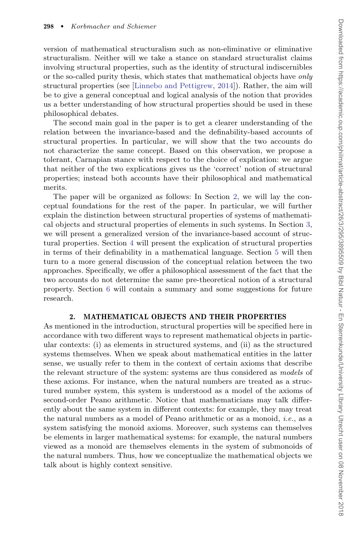<span id="page-3-0"></span>version of mathematical structuralism such as non-eliminative or eliminative structuralism. Neither will we take a stance on standard structuralist claims involving structural properties, such as the identity of structural indiscernibles or the so-called purity thesis, which states that mathematical objects have only structural properties (see [\[Linnebo and Pettigrew,](#page-27-0) [2014\]](#page-27-0)). Rather, the aim will be to give a general conceptual and logical analysis of the notion that provides us a better understanding of how structural properties should be used in these philosophical debates.

The second main goal in the paper is to get a clearer understanding of the relation between the invariance-based and the definability-based accounts of structural properties. In particular, we will show that the two accounts do not characterize the same concept. Based on this observation, we propose a tolerant, Carnapian stance with respect to the choice of explication: we argue that neither of the two explications gives us the 'correct' notion of structural properties; instead both accounts have their philosophical and mathematical merits.

The paper will be organized as follows: In Section 2, we will lay the conceptual foundations for the rest of the paper. In particular, we will further explain the distinction between structural properties of systems of mathematical objects and structural properties of elements in such systems. In Section [3,](#page-8-0) we will present a generalized version of the invariance-based account of structural properties. Section [4](#page-14-0) will present the explication of structural properties in terms of their definability in a mathematical language. Section [5](#page-17-0) will then turn to a more general discussion of the conceptual relation between the two approaches. Specifically, we offer a philosophical assessment of the fact that the two accounts do not determine the same pre-theoretical notion of a structural property. Section [6](#page-26-0) will contain a summary and some suggestions for future research.

# **2. MATHEMATICAL OBJECTS AND THEIR PROPERTIES**

As mentioned in the introduction, structural properties will be specified here in accordance with two different ways to represent mathematical objects in particular contexts: (i) as elements in structured systems, and (ii) as the structured systems themselves. When we speak about mathematical entities in the latter sense, we usually refer to them in the context of certain axioms that describe the relevant structure of the system: systems are thus considered as models of these axioms. For instance, when the natural numbers are treated as a structured number system, this system is understood as a model of the axioms of second-order Peano arithmetic. Notice that mathematicians may talk differently about the same system in different contexts: for example, they may treat the natural numbers as a model of Peano arithmetic or as a monoid, i.e., as a system satisfying the monoid axioms. Moreover, such systems can themselves be elements in larger mathematical systems: for example, the natural numbers viewed as a monoid are themselves elements in the system of submonoids of the natural numbers. Thus, how we conceptualize the mathematical objects we talk about is highly context sensitive.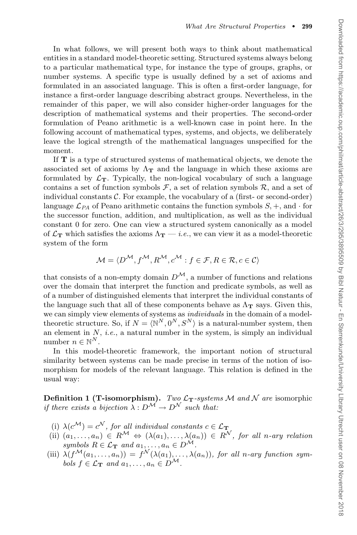In what follows, we will present both ways to think about mathematical entities in a standard model-theoretic setting. Structured systems always belong to a particular mathematical type, for instance the type of groups, graphs, or number systems. A specific type is usually defined by a set of axioms and formulated in an associated language. This is often a first-order language, for instance a first-order language describing abstract groups. Nevertheless, in the remainder of this paper, we will also consider higher-order languages for the description of mathematical systems and their properties. The second-order formulation of Peano arithmetic is a well-known case in point here. In the following account of mathematical types, systems, and objects, we deliberately leave the logical strength of the mathematical languages unspecified for the moment.

If **T** is a type of structured systems of mathematical objects, we denote the associated set of axioms by  $\Lambda_{\mathbf{T}}$  and the language in which these axioms are formulated by  $\mathcal{L}_T$ . Typically, the non-logical vocabulary of such a language contains a set of function symbols  $\mathcal{F}$ , a set of relation symbols  $\mathcal{R}$ , and a set of individual constants  $\mathcal{C}$ . For example, the vocabulary of a (first- or second-order) language  $\mathcal{L}_{PA}$  of Peano arithmetic contains the function symbols  $S, +$ , and  $\cdot$  for the successor function, addition, and multiplication, as well as the individual constant 0 for zero. One can view a structured system canonically as a model of  $\mathcal{L}_{\mathbf{T}}$  which satisfies the axioms  $\Lambda_{\mathbf{T}}$  — *i.e.*, we can view it as a model-theoretic system of the form

$$
\mathcal{M} = \langle D^{\mathcal{M}}, f^{\mathcal{M}}, R^{\mathcal{M}}, c^{\mathcal{M}} : f \in \mathcal{F}, R \in \mathcal{R}, c \in \mathcal{C} \rangle
$$

that consists of a non-empty domain  $D^{\mathcal{M}}$ , a number of functions and relations over the domain that interpret the function and predicate symbols, as well as of a number of distinguished elements that interpret the individual constants of the language such that all of these components behave as  $\Lambda_T$  says. Given this, we can simply view elements of systems as *individuals* in the domain of a modeltheoretic structure. So, if  $N = \langle \mathbb{N}^N, 0^N, S^N \rangle$  is a natural-number system, then an element in  $N$ , *i.e.*, a natural number in the system, is simply an individual number  $n \in \mathbb{N}^N$ .

In this model-theoretic framework, the important notion of structural similarity between systems can be made precise in terms of the notion of isomorphism for models of the relevant language. This relation is defined in the usual way:

**Definition 1 (T-isomorphism).** Two  $\mathcal{L}_T$ -systems  $\mathcal{M}$  and  $\mathcal{N}$  are isomorphic if there exists a bijection  $\lambda : D^{\mathcal{M}} \to D^{\mathcal{N}}$  such that:

- (i)  $\lambda(c^{\mathcal{M}}) = c^{\mathcal{N}}$ , for all individual constants  $c \in \mathcal{L}_{\mathbf{T}}$
- (ii)  $(a_1,\ldots,a_n) \in R^{\mathcal{M}} \Leftrightarrow (\lambda(a_1),\ldots,\lambda(a_n)) \in R^{\mathcal{N}}$ , for all n-ary relation symbols  $R \in \mathcal{L}_{\mathbf{T}}$  and  $a_1, \ldots, a_n \in D^{\mathcal{M}}$ .
- (iii)  $\lambda(f^{\mathcal{M}}(a_1,\ldots,a_n)) = f^{\mathcal{N}}(\lambda(a_1),\ldots,\lambda(a_n)),$  for all n-ary function symbols  $f \in \mathcal{L}_{\mathbf{T}}$  and  $a_1, \ldots, a_n \in D^{\mathcal{M}}$ .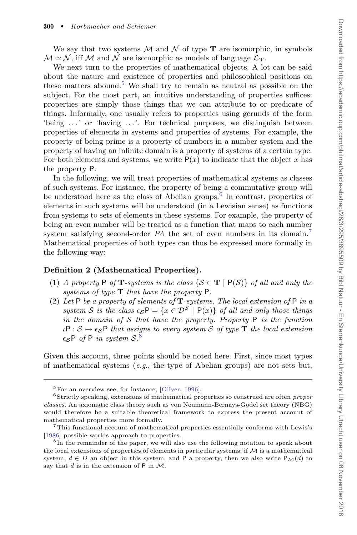We say that two systems  $M$  and  $N$  of type **T** are isomorphic, in symbols  $M \simeq N$ , iff M and N are isomorphic as models of language  $\mathcal{L}_T$ .

We next turn to the properties of mathematical objects. A lot can be said about the nature and existence of properties and philosophical positions on these matters abound.<sup>5</sup> We shall try to remain as neutral as possible on the subject. For the most part, an intuitive understanding of properties suffices: properties are simply those things that we can attribute to or predicate of things. Informally, one usually refers to properties using gerunds of the form 'being . . . ' or 'having . . . '. For technical purposes, we distinguish between properties of elements in systems and properties of systems. For example, the property of being prime is a property of numbers in a number system and the property of having an infinite domain is a property of systems of a certain type. For both elements and systems, we write  $P(x)$  to indicate that the object x has the property P.

In the following, we will treat properties of mathematical systems as classes of such systems. For instance, the property of being a commutative group will be understood here as the class of Abelian groups.<sup>6</sup> In contrast, properties of elements in such systems will be understood (in a Lewisian sense) as functions from systems to sets of elements in these systems. For example, the property of being an even number will be treated as a function that maps to each number system satisfying second-order PA the set of even numbers in its domain.<sup>7</sup> Mathematical properties of both types can thus be expressed more formally in the following way:

# **Definition 2 (Mathematical Properties).**

- (1) A property P of **T**-systems is the class  $\{S \in \mathbf{T} \mid P(S)\}\$  of all and only the systems of type **T** that have the property P.
- (2) Let P be a property of elements of **T**-systems. The local extension of P in a system S is the class  $\epsilon_S P = \{x \in \mathcal{D}^S \mid P(x)\}\$  of all and only those things in the domain of S that have the property. Property  $P$  is the function  $\iota$ P :  $S \mapsto \epsilon_{\mathcal{S}}$ P that assigns to every system S of type **T** the local extension  $\epsilon_{\mathcal{S}}$ P of P in system  $\mathcal{S}^8$ .

Given this account, three points should be noted here. First, since most types of mathematical systems  $(e.g., the type of Abelian groups)$  are not sets but,

<sup>&</sup>lt;sup>5</sup>For an overview see, for instance, [\[Oliver,](#page-27-0) [1996](#page-27-0)].

<sup>&</sup>lt;sup>6</sup> Strictly speaking, extensions of mathematical properties so construed are often *proper* classes. An axiomatic class theory such as von Neumann-Bernays-Gödel set theory (NBG) would therefore be a suitable theoretical framework to express the present account of mathematical properties more formally.

<sup>7</sup>This functional account of mathematical properties essentially conforms with Lewis's [\[1986](#page-27-0)] possible-worlds approach to properties.

<sup>8</sup> In the remainder of the paper, we will also use the following notation to speak about the local extensions of properties of elements in particular systems: if  $M$  is a mathematical system,  $d \in D$  an object in this system, and P a property, then we also write  $P_M(d)$  to say that  $d$  is in the extension of P in  $\mathcal{M}$ .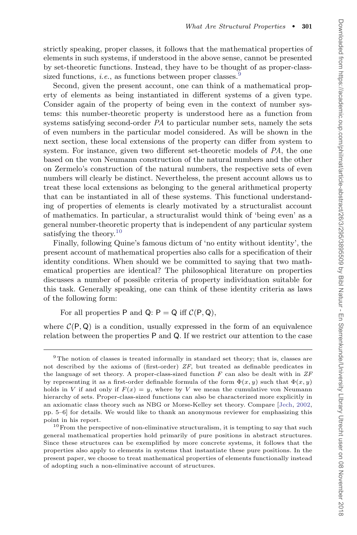strictly speaking, proper classes, it follows that the mathematical properties of elements in such systems, if understood in the above sense, cannot be presented by set-theoretic functions. Instead, they have to be thought of as proper-classsized functions, *i.e.*, as functions between proper classes.<sup>9</sup>

Second, given the present account, one can think of a mathematical property of elements as being instantiated in different systems of a given type. Consider again of the property of being even in the context of number systems: this number-theoretic property is understood here as a function from systems satisfying second-order PA to particular number sets, namely the sets of even numbers in the particular model considered. As will be shown in the next section, these local extensions of the property can differ from system to system. For instance, given two different set-theoretic models of PA, the one based on the von Neumann construction of the natural numbers and the other on Zermelo's construction of the natural numbers, the respective sets of even numbers will clearly be distinct. Nevertheless, the present account allows us to treat these local extensions as belonging to the general arithmetical property that can be instantiated in all of these systems. This functional understanding of properties of elements is clearly motivated by a structuralist account of mathematics. In particular, a structuralist would think of 'being even' as a general number-theoretic property that is independent of any particular system satisfying the theory.<sup>10</sup>

Finally, following Quine's famous dictum of 'no entity without identity', the present account of mathematical properties also calls for a specification of their identity conditions. When should we be committed to saying that two mathematical properties are identical? The philosophical literature on properties discusses a number of possible criteria of property individuation suitable for this task. Generally speaking, one can think of these identity criteria as laws of the following form:

For all properties P and Q:  $P = Q$  iff  $C(P, Q)$ ,

where  $\mathcal{C}(P, Q)$  is a condition, usually expressed in the form of an equivalence relation between the properties P and Q. If we restrict our attention to the case

<sup>&</sup>lt;sup>9</sup>The notion of classes is treated informally in standard set theory; that is, classes are not described by the axioms of (first-order) ZF, but treated as definable predicates in the language of set theory. A proper-class-sized function  $F$  can also be dealt with in  $ZF$ by representing it as a first-order definable formula of the form  $\Phi(x, y)$  such that  $\Phi(x, y)$ holds in V if and only if  $F(x) = y$ , where by V we mean the cumulative von Neumann hierarchy of sets. Proper-class-sized functions can also be characterized more explicitly in an axiomatic class theory such as NBG or Morse-Kelley set theory. Compare [\[Jech,](#page-27-0) [2002](#page-27-0), pp. 5–6] for details. We would like to thank an anonymous reviewer for emphasizing this point in his report.

 $10$  From the perspective of non-eliminative structuralism, it is tempting to say that such general mathematical properties hold primarily of pure positions in abstract structures. Since these structures can be exemplified by more concrete systems, it follows that the properties also apply to elements in systems that instantiate these pure positions. In the present paper, we choose to treat mathematical properties of elements functionally instead of adopting such a non-eliminative account of structures.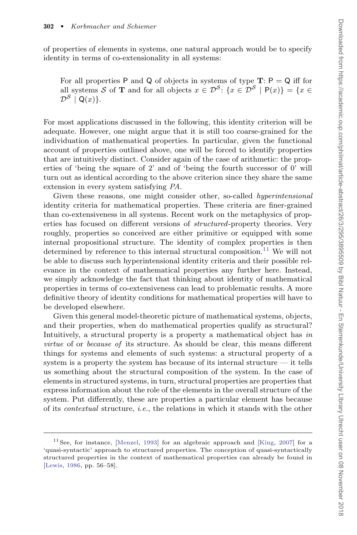of properties of elements in systems, one natural approach would be to specify identity in terms of co-extensionality in all systems:

For all properties P and Q of objects in systems of type  $T: P = Q$  iff for all systems S of **T** and for all objects  $x \in \mathcal{D}^{\mathcal{S}}$ :  $\{x \in \mathcal{D}^{\mathcal{S}} \mid P(x)\} = \{x \in$  $\mathcal{D}^{\mathcal{S}}$  | Q(x) }.

For most applications discussed in the following, this identity criterion will be adequate. However, one might argue that it is still too coarse-grained for the individuation of mathematical properties. In particular, given the functional account of properties outlined above, one will be forced to identify properties that are intuitively distinct. Consider again of the case of arithmetic: the properties of 'being the square of 2' and of 'being the fourth successor of 0' will turn out as identical according to the above criterion since they share the same extension in every system satisfying PA.

Given these reasons, one might consider other, so-called *hyperintensional* identity criteria for mathematical properties. These criteria are finer-grained than co-extensiveness in all systems. Recent work on the metaphysics of properties has focused on different versions of structured-property theories. Very roughly, properties so conceived are either primitive or equipped with some internal propositional structure. The identity of complex properties is then determined by reference to this internal structural composition.<sup>11</sup> We will not be able to discuss such hyperintensional identity criteria and their possible relevance in the context of mathematical properties any further here. Instead, we simply acknowledge the fact that thinking about identity of mathematical properties in terms of co-extensiveness can lead to problematic results. A more definitive theory of identity conditions for mathematical properties will have to be developed elsewhere.

Given this general model-theoretic picture of mathematical systems, objects, and their properties, when do mathematical properties qualify as structural? Intuitively, a structural property is a property a mathematical object has in virtue of or because of its structure. As should be clear, this means different things for systems and elements of such systems: a structural property of a system is a property the system has because of its internal structure  $-$  it tells us something about the structural composition of the system. In the case of elements in structured systems, in turn, structural properties are properties that express information about the role of the elements in the overall structure of the system. Put differently, these are properties a particular element has because of its *contextual* structure, *i.e.*, the relations in which it stands with the other

 $11$  See, for instance, [\[Menzel](#page-27-0), [1993\]](#page-27-0) for an algebraic approach and [\[King](#page-27-0), [2007](#page-27-0)] for a 'quasi-syntactic' approach to structured properties. The conception of quasi-syntactically structured properties in the context of mathematical properties can already be found in [\[Lewis](#page-27-0), [1986,](#page-27-0) pp. 56–58].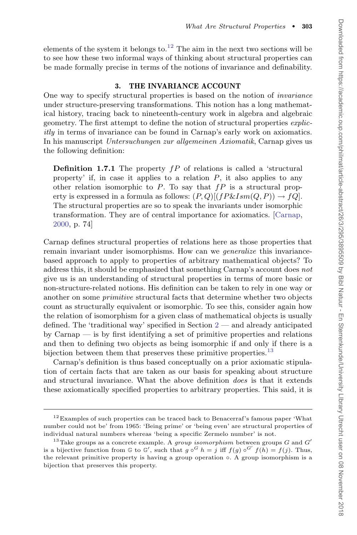<span id="page-8-0"></span>elements of the system it belongs to.<sup>12</sup> The aim in the next two sections will be to see how these two informal ways of thinking about structural properties can be made formally precise in terms of the notions of invariance and definability.

#### **3. THE INVARIANCE ACCOUNT**

One way to specify structural properties is based on the notion of invariance under structure-preserving transformations. This notion has a long mathematical history, tracing back to nineteenth-century work in algebra and algebraic geometry. The first attempt to define the notion of structural properties explicitly in terms of invariance can be found in Carnap's early work on axiomatics. In his manuscript Untersuchungen zur allgemeinen Axiomatik, Carnap gives us the following definition:

**Definition 1.7.1** The property  $fP$  of relations is called a 'structural property' if, in case it applies to a relation  $P$ , it also applies to any other relation isomorphic to  $P$ . To say that  $fP$  is a structural property is expressed in a formula as follows:  $(P,Q)[(fP\&Ism(Q, P)) \rightarrow fQ].$ The structural properties are so to speak the invariants under isomorphic transformation. They are of central importance for axiomatics. [\[Carnap,](#page-27-0) [2000](#page-27-0), p. 74]

Carnap defines structural properties of relations here as those properties that remain invariant under isomorphisms. How can we generalize this invariancebased approach to apply to properties of arbitrary mathematical objects? To address this, it should be emphasized that something Carnap's account does not give us is an understanding of structural properties in terms of more basic or non-structure-related notions. His definition can be taken to rely in one way or another on some primitive structural facts that determine whether two objects count as structurally equivalent or isomorphic. To see this, consider again how the relation of isomorphism for a given class of mathematical objects is usually defined. The 'traditional way' specified in Section [2](#page-3-0) — and already anticipated by Carnap — is by first identifying a set of primitive properties and relations and then to defining two objects as being isomorphic if and only if there is a bijection between them that preserves these primitive properties.<sup>13</sup>

Carnap's definition is thus based conceptually on a prior axiomatic stipulation of certain facts that are taken as our basis for speaking about structure and structural invariance. What the above definition does is that it extends these axiomatically specified properties to arbitrary properties. This said, it is

<sup>12</sup>Examples of such properties can be traced back to Benacerraf's famous paper 'What number could not be' from 1965: 'Being prime' or 'being even' are structural properties of individual natural numbers whereas 'being a specific Zermelo number' is not.

<sup>&</sup>lt;sup>13</sup>Take groups as a concrete example. A *group isomorphism* between groups G and  $G'$ is a bijective function from  $\mathbb{G}$  to  $\mathbb{G}'$ , such that  $g \circ^G h = j$  iff  $f(g) \circ^{G'} f(h) = f(j)$ . Thus, the relevant primitive property is having a group operation ◦. A group isomorphism is a bijection that preserves this property.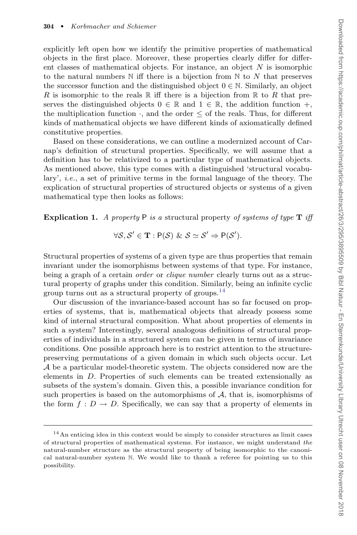explicitly left open how we identify the primitive properties of mathematical objects in the first place. Moreover, these properties clearly differ for different classes of mathematical objects. For instance, an object  $N$  is isomorphic to the natural numbers  $\mathbb N$  iff there is a bijection from  $\mathbb N$  to  $N$  that preserves the successor function and the distinguished object  $0 \in \mathbb{N}$ . Similarly, an object R is isomorphic to the reals  $\mathbb R$  iff there is a bijection from  $\mathbb R$  to R that preserves the distinguished objects  $0 \in \mathbb{R}$  and  $1 \in \mathbb{R}$ , the addition function +, the multiplication function  $\cdot$ , and the order  $\leq$  of the reals. Thus, for different kinds of mathematical objects we have different kinds of axiomatically defined constitutive properties.

Based on these considerations, we can outline a modernized account of Carnap's definition of structural properties. Specifically, we will assume that a definition has to be relativized to a particular type of mathematical objects. As mentioned above, this type comes with a distinguished 'structural vocabulary', i.e., a set of primitive terms in the formal language of the theory. The explication of structural properties of structured objects or systems of a given mathematical type then looks as follows:

**Explication 1.** A property P is a structural property of systems of type **T** iff

 $\forall S, S' \in \mathbf{T} : P(S) \& S \simeq S' \Rightarrow P(S').$ 

Structural properties of systems of a given type are thus properties that remain invariant under the isomorphisms between systems of that type. For instance, being a graph of a certain order or clique number clearly turns out as a structural property of graphs under this condition. Similarly, being an infinite cyclic group turns out as a structural property of groups.  $14$ 

Our discussion of the invariance-based account has so far focused on properties of systems, that is, mathematical objects that already possess some kind of internal structural composition. What about properties of elements in such a system? Interestingly, several analogous definitions of structural properties of individuals in a structured system can be given in terms of invariance conditions. One possible approach here is to restrict attention to the structurepreserving permutations of a given domain in which such objects occur. Let A be a particular model-theoretic system. The objects considered now are the elements in D. Properties of such elements can be treated extensionally as subsets of the system's domain. Given this, a possible invariance condition for such properties is based on the automorphisms of  $A$ , that is, isomorphisms of the form  $f: D \to D$ . Specifically, we can say that a property of elements in

 $14$ An enticing idea in this context would be simply to consider structures as limit cases of structural properties of mathematical systems. For instance, we might understand the natural-number structure as the structural property of being isomorphic to the canonical natural-number system N. We would like to thank a referee for pointing us to this possibility.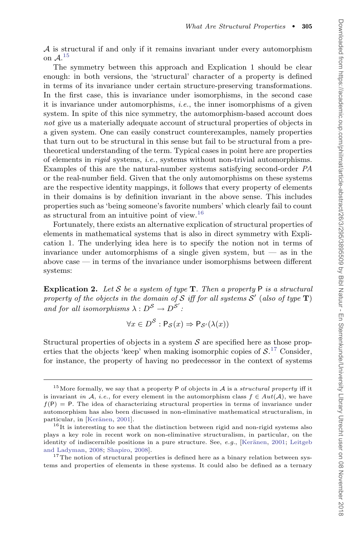A is structural if and only if it remains invariant under every automorphism on  $\mathcal{A}.^{15}$ 

The symmetry between this approach and Explication 1 should be clear enough: in both versions, the 'structural' character of a property is defined in terms of its invariance under certain structure-preserving transformations. In the first case, this is invariance under isomorphisms, in the second case it is invariance under automorphisms, i.e., the inner isomorphisms of a given system. In spite of this nice symmetry, the automorphism-based account does not give us a materially adequate account of structural properties of objects in a given system. One can easily construct counterexamples, namely properties that turn out to be structural in this sense but fail to be structural from a pretheoretical understanding of the term. Typical cases in point here are properties of elements in rigid systems, i.e., systems without non-trivial automorphisms. Examples of this are the natural-number systems satisfying second-order PA or the real-number field. Given that the only automorphisms on these systems are the respective identity mappings, it follows that every property of elements in their domains is by definition invariant in the above sense. This includes properties such as 'being someone's favorite numbers' which clearly fail to count as structural from an intuitive point of view.<sup>16</sup>

Fortunately, there exists an alternative explication of structural properties of elements in mathematical systems that is also in direct symmetry with Explication 1. The underlying idea here is to specify the notion not in terms of invariance under automorphisms of a single given system, but — as in the above case — in terms of the invariance under isomorphisms between different systems:

**Explication 2.** Let S be a system of type **T**. Then a property  $P$  is a structural property of the objects in the domain of S iff for all systems  $\mathcal{S}'$  (also of type **T**) and for all isomorphisms  $\lambda: D^S \to D^{S'}$ :

$$
\forall x \in D^S : \mathsf{P}_{\mathcal{S}}(x) \Rightarrow \mathsf{P}_{\mathcal{S}'}(\lambda(x))
$$

Structural properties of objects in a system  $S$  are specified here as those properties that the objects 'keep' when making isomorphic copies of  $S$ <sup>17</sup> Consider, for instance, the property of having no predecessor in the context of systems

<sup>&</sup>lt;sup>15</sup> More formally, we say that a property P of objects in A is a *structural property* iff it is invariant in A, i.e., for every element in the automorphism class  $f \in Aut(\mathcal{A})$ , we have  $f(P) = P$ . The idea of characterizing structural properties in terms of invariance under automorphism has also been discussed in non-eliminative mathematical structuralism, in particular, in [Keränen, [2001\]](#page-27-0).

 $16$  It is interesting to see that the distinction between rigid and non-rigid systems also plays a key role in recent work on non-eliminative structuralism, in particular, on the identity of in[discernible](#page-27-0) [positions](#page-27-0) [in](#page-27-0) [a](#page-27-0) [pure](#page-27-0) [structure.](#page-27-0) [See,](#page-27-0) e.g., [Keränen, [2001](#page-27-0); Leitgeb and Ladyman, [2008](#page-27-0); [Shapiro](#page-27-0), [2008\]](#page-27-0).

 $17$ The notion of structural properties is defined here as a binary relation between systems and properties of elements in these systems. It could also be defined as a ternary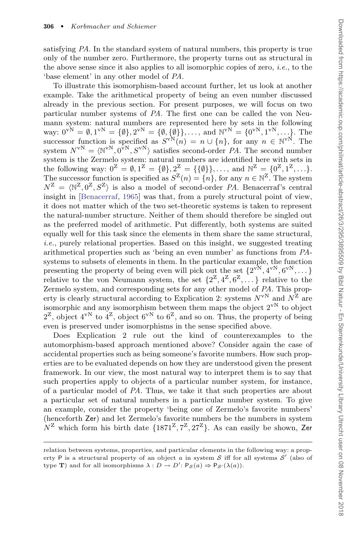satisfying PA. In the standard system of natural numbers, this property is true only of the number zero. Furthermore, the property turns out as structural in the above sense since it also applies to all isomorphic copies of zero, i.e., to the 'base element' in any other model of PA.

To illustrate this isomorphism-based account further, let us look at another example. Take the arithmetical property of being an even number discussed already in the previous section. For present purposes, we will focus on two particular number systems of PA. The first one can be called the von Neumann system: natural numbers are represented here by sets in the following way:  $0^{V^N} = \emptyset, 1^{V^N} = {\emptyset}, 2^{V^N} = {\emptyset}, {\emptyset}, \ldots, \text{ and } N^{V^N} = {\emptyset}^{V^N}, 1^{V^N}, \ldots$ . The successor function is specified as  $S^{\nu N}(n) = n \cup \{n\}$ , for any  $n \in \mathbb{N}^{\nu N}$ . The system  $N^{\text{vN}} = \langle N^{\text{vN}}, 0^{\text{vN}}, S^{\text{vN}} \rangle$  satisfies second-order *PA*. The second number system is the Zermelo system: natural numbers are identified here with sets in the following way:  $0^Z = \emptyset$ ,  $1^Z = {\emptyset}$ ,  $2^Z = {\{\emptyset\}}, \ldots$ , and  $\mathbb{N}^Z = {\{0^Z, 1^Z, \ldots\}}$ . The successor function is specified as  $S^{Z}(n) = \{n\}$ , for any  $n \in \mathbb{N}^{Z}$ . The system  $N^{\mathbb{Z}} = \langle \mathbb{N}^{\mathbb{Z}}, 0^{\mathbb{Z}}, S^{\mathbb{Z}} \rangle$  is also a model of second-order PA. Benacerraf's central insight in [\[Benacerraf,](#page-26-0) [1965](#page-26-0)] was that, from a purely structural point of view, it does not matter which of the two set-theoretic systems is taken to represent the natural-number structure. Neither of them should therefore be singled out as the preferred model of arithmetic. Put differently, both systems are suited equally well for this task since the elements in them share the same structural, i.e., purely relational properties. Based on this insight, we suggested treating arithmetical properties such as 'being an even number' as functions from PAsystems to subsets of elements in them. In the particular example, the function presenting the property of being even will pick out the set  $\{2^{vN}, 4^{vN}, 6^{vN}, \dots\}$ relative to the von Neumann system, the set  $\{2^{\mathbb{Z}}, 4^{\mathbb{Z}}, 6^{\mathbb{Z}}, \dots\}$  relative to the Zermelo system, and corresponding sets for any other model of PA. This property is clearly structural according to Explication 2: systems  $N^{\gamma N}$  and  $N^{\gamma}$  are isomorphic and any isomorphism between them maps the object  $2^{vN}$  to object  $2^{\mathbb{Z}}$ , object  $4^{\mathrm{vN}}$  to  $4^{\mathbb{Z}}$ , object  $6^{\mathrm{vN}}$  to  $6^{\mathbb{Z}}$ , and so on. Thus, the property of being even is preserved under isomorphisms in the sense specified above.

Does Explication 2 rule out the kind of counterexamples to the automorphism-based approach mentioned above? Consider again the case of accidental properties such as being someone's favorite numbers. How such properties are to be evaluated depends on how they are understood given the present framework. In our view, the most natural way to interpret them is to say that such properties apply to objects of a particular number system, for instance, of a particular model of PA. Thus, we take it that such properties are about a particular set of natural numbers in a particular number system. To give an example, consider the property 'being one of Zermelo's favorite numbers' (henceforth Zer) and let Zermelo's favorite numbers be the numbers in system  $N^{\mathbb{Z}}$  which form his birth date  $\{1871^{\mathbb{Z}}, 7^{\mathbb{Z}}, 27^{\mathbb{Z}}\}$ . As can easily be shown, Zer

relation between systems, properties, and particular elements in the following way: a property P is a structural property of an object a in system S iff for all systems  $S'$  (also of type **T**) and for all isomorphisms  $\lambda : D \to D' : \mathsf{P}_{\mathcal{S}}(a) \Rightarrow \mathsf{P}_{\mathcal{S}'}(\lambda(a)).$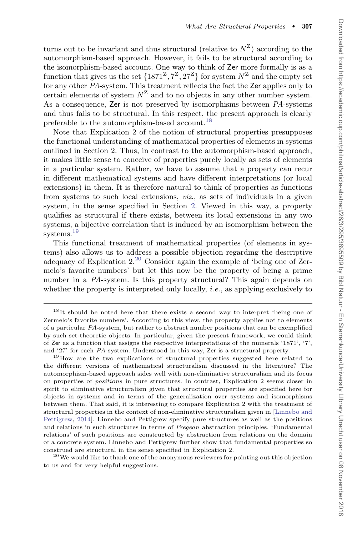turns out to be invariant and thus structural (relative to  $N^Z$ ) according to the automorphism-based approach. However, it fails to be structural according to the isomorphism-based account. One way to think of Zer more formally is as a function that gives us the set  $\{1871^{\mathbb{Z}}, 7^{\mathbb{Z}}, 27^{\mathbb{Z}}\}$  for system  $N^{\mathbb{Z}}$  and the empty set for any other PA-system. This treatment reflects the fact the Zer applies only to certain elements of system  $N^2$  and to no objects in any other number system. As a consequence, Zer is not preserved by isomorphisms between PA-systems and thus fails to be structural. In this respect, the present approach is clearly preferable to the automorphism-based account.<sup>18</sup>

Note that Explication 2 of the notion of structural properties presupposes the functional understanding of mathematical properties of elements in systems outlined in Section 2. Thus, in contrast to the automorphism-based approach, it makes little sense to conceive of properties purely locally as sets of elements in a particular system. Rather, we have to assume that a property can recur in different mathematical systems and have different interpretations (or local extensions) in them. It is therefore natural to think of properties as functions from systems to such local extensions, viz., as sets of individuals in a given system, in the sense specified in Section [2.](#page-3-0) Viewed in this way, a property qualifies as structural if there exists, between its local extensions in any two systems, a bijective correlation that is induced by an isomorphism between the systems.<sup>19</sup>

This functional treatment of mathematical properties (of elements in systems) also allows us to address a possible objection regarding the descriptive adequacy of Explication  $2^{20}$  Consider again the example of 'being one of Zermelo's favorite numbers' but let this now be the property of being a prime number in a PA-system. Is this property structural? This again depends on whether the property is interpreted only locally, *i.e.*, as applying exclusively to

<sup>18</sup> It should be noted here that there exists a second way to interpret 'being one of Zermelo's favorite numbers'. According to this view, the property applies not to elements of a particular PA-system, but rather to abstract number positions that can be exemplified by such set-theoretic objects. In particular, given the present framework, we could think of Zer as a function that assigns the respective interpretations of the numerals '1871', '7', and '27' for each PA-system. Understood in this way, Zer is a structural property.

<sup>&</sup>lt;sup>19</sup>How are the two explications of structural properties suggested here related to the different versions of mathematical structuralism discussed in the literature? The automorphism-based approach sides well with non-eliminative structuralism and its focus on properties of positions in pure structures. In contrast, Explication 2 seems closer in spirit to eliminative structuralism given that structural properties are specified here for objects in systems and in terms of the generalization over systems and isomorphisms between them. That said, it is interesting to compare Explication 2 with the treatment of structura[l properties in the context of non-eliminative structuralism given in \[](#page-27-0)Linnebo and Pettigrew, [2014](#page-27-0)]. Linnebo and Pettigrew specify pure structures as well as the positions and relations in such structures in terms of Fregean abstraction principles. 'Fundamental relations' of such positions are constructed by abstraction from relations on the domain of a concrete system. Linnebo and Pettigrew further show that fundamental properties so construed are structural in the sense specified in Explication 2.

 $20$  We would like to thank one of the anonymous reviewers for pointing out this objection to us and for very helpful suggestions.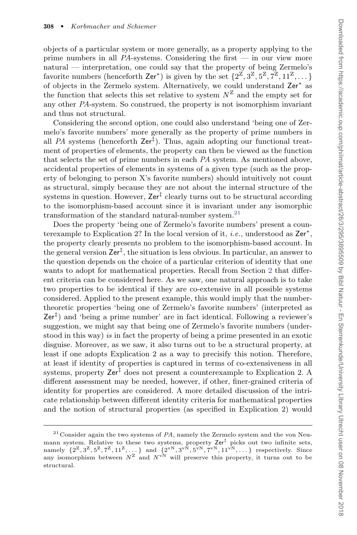objects of a particular system or more generally, as a property applying to the prime numbers in all  $PA$ -systems. Considering the first  $-$  in our view more natural — interpretation, one could say that the property of being Zermelo's favorite numbers (henceforth Zer<sup>\*</sup>) is given by the set  $\{2^{\mathbb{Z}}, 3^{\mathbb{Z}}, 5^{\mathbb{Z}}, 7^{\mathbb{Z}}, 11^{\mathbb{Z}}, \dots\}$ of objects in the Zermelo system. Alternatively, we could understand Zer<sup>∗</sup> as the function that selects this set relative to system  $N^2$  and the empty set for any other PA-system. So construed, the property is not isomorphism invariant and thus not structural.

Considering the second option, one could also understand 'being one of Zermelo's favorite numbers' more generally as the property of prime numbers in all PA systems (henceforth  $\mathsf{Zer}^{\ddagger}$ ). Thus, again adopting our functional treatment of properties of elements, the property can then be viewed as the function that selects the set of prime numbers in each PA system. As mentioned above, accidental properties of elements in systems of a given type (such as the property of belonging to person X's favorite numbers) should intuitively not count as structural, simply because they are not about the internal structure of the systems in question. However,  $\mathsf{Zer}^{\ddagger}$  clearly turns out to be structural according to the isomorphism-based account since it is invariant under any isomorphic transformation of the standard natural-number system.<sup>21</sup>

Does the property 'being one of Zermelo's favorite numbers' present a counterexample to Explication 2? In the local version of it, i.e., understood as Zer∗, the property clearly presents no problem to the isomorphism-based account. In the general version  $\mathsf{Zer}^{\ddagger}$ , the situation is less obvious. In particular, an answer to the question depends on the choice of a particular criterion of identity that one wants to adopt for mathematical properties. Recall from Section [2](#page-3-0) that different criteria can be considered here. As we saw, one natural approach is to take two properties to be identical if they are co-extensive in all possible systems considered. Applied to the present example, this would imply that the numbertheoretic properties 'being one of Zermelo's favorite numbers' (interpreted as  $\mathsf{Zer}^{\ddagger}$ ) and 'being a prime number' are in fact identical. Following a reviewer's suggestion, we might say that being one of Zermelo's favorite numbers (understood in this way) is in fact the property of being a prime presented in an exotic disguise. Moreover, as we saw, it also turns out to be a structural property, at least if one adopts Explication 2 as a way to precisify this notion. Therefore, at least if identity of properties is captured in terms of co-extensiveness in all systems, property  $\mathsf{Zer}^{\ddagger}$  does not present a counterexample to Explication 2. A different assessment may be needed, however, if other, finer-grained criteria of identity for properties are considered. A more detailed discussion of the intricate relationship between different identity criteria for mathematical properties and the notion of structural properties (as specified in Explication 2) would

 $21$  Consider again the two systems of  $PA$ , namely the Zermelo system and the von Neumann system. Relative to these two systems, property  $\mathsf{Zer}^{\ddagger}$  picks out two infinite sets, namely  $\{2^Z, 3^Z, 5^Z, 7^Z, 11^Z, \dots\}$  and  $\{2^{vN}, 3^{vN}, 5^{vN}, 7^{vN}, 11^{vN}, \dots\}$  respectively. Since any isomorphism between  $N^Z$  and  $N^{vN}$  will preserve this property, it turns out to be structural.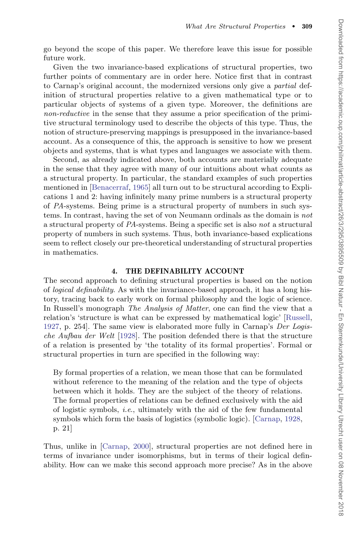<span id="page-14-0"></span>go beyond the scope of this paper. We therefore leave this issue for possible future work.

Given the two invariance-based explications of structural properties, two further points of commentary are in order here. Notice first that in contrast to Carnap's original account, the modernized versions only give a partial definition of structural properties relative to a given mathematical type or to particular objects of systems of a given type. Moreover, the definitions are non-reductive in the sense that they assume a prior specification of the primitive structural terminology used to describe the objects of this type. Thus, the notion of structure-preserving mappings is presupposed in the invariance-based account. As a consequence of this, the approach is sensitive to how we present objects and systems, that is what types and languages we associate with them.

Second, as already indicated above, both accounts are materially adequate in the sense that they agree with many of our intuitions about what counts as a structural property. In particular, the standard examples of such properties mentioned in [\[Benacerraf](#page-26-0), [1965\]](#page-26-0) all turn out to be structural according to Explications 1 and 2: having infinitely many prime numbers is a structural property of PA-systems. Being prime is a structural property of numbers in such systems. In contrast, having the set of von Neumann ordinals as the domain is not a structural property of PA-systems. Being a specific set is also not a structural property of numbers in such systems. Thus, both invariance-based explications seem to reflect closely our pre-theoretical understanding of structural properties in mathematics.

## **4. THE DEFINABILITY ACCOUNT**

The second approach to defining structural properties is based on the notion of logical definability. As with the invariance-based approach, it has a long history, tracing back to early work on formal philosophy and the logic of science. In Russell's monograph *The Analysis of Matter*, one can find the view that a relation's 'structure is what can be expressed by mathematical logic' [\[Russell,](#page-27-0) [1927](#page-27-0), p. 254]. The same view is elaborated more fully in Carnap's Der Logische Aufbau der Welt [\[1928\]](#page-26-0). The position defended there is that the structure of a relation is presented by 'the totality of its formal properties'. Formal or structural properties in turn are specified in the following way:

By formal properties of a relation, we mean those that can be formulated without reference to the meaning of the relation and the type of objects between which it holds. They are the subject of the theory of relations. The formal properties of relations can be defined exclusively with the aid of logistic symbols, i.e., ultimately with the aid of the few fundamental symbols which form the basis of logistics (symbolic logic). [\[Carnap,](#page-26-0) [1928](#page-26-0), p. 21]

Thus, unlike in [\[Carnap](#page-27-0), [2000](#page-27-0)], structural properties are not defined here in terms of invariance under isomorphisms, but in terms of their logical definability. How can we make this second approach more precise? As in the above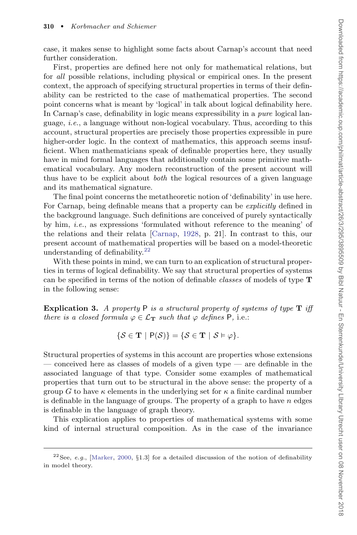case, it makes sense to highlight some facts about Carnap's account that need further consideration.

First, properties are defined here not only for mathematical relations, but for all possible relations, including physical or empirical ones. In the present context, the approach of specifying structural properties in terms of their definability can be restricted to the case of mathematical properties. The second point concerns what is meant by 'logical' in talk about logical definability here. In Carnap's case, definability in logic means expressibility in a pure logical language, i.e., a language without non-logical vocabulary. Thus, according to this account, structural properties are precisely those properties expressible in pure higher-order logic. In the context of mathematics, this approach seems insufficient. When mathematicians speak of definable properties here, they usually have in mind formal languages that additionally contain some primitive mathematical vocabulary. Any modern reconstruction of the present account will thus have to be explicit about both the logical resources of a given language and its mathematical signature.

The final point concerns the metatheoretic notion of 'definability' in use here. For Carnap, being definable means that a property can be *explicitly* defined in the background language. Such definitions are conceived of purely syntactically by him, i.e., as expressions 'formulated without reference to the meaning' of the relations and their relata [\[Carnap](#page-26-0), [1928,](#page-26-0) p. 21]. In contrast to this, our present account of mathematical properties will be based on a model-theoretic understanding of definability.<sup>22</sup>

With these points in mind, we can turn to an explication of structural properties in terms of logical definability. We say that structural properties of systems can be specified in terms of the notion of definable classes of models of type **T** in the following sense:

**Explication 3.** A property P is a structural property of systems of type **T** iff there is a closed formula  $\varphi \in \mathcal{L}_{\mathbf{T}}$  such that  $\varphi$  defines P, i.e.:

 $\{S \in \mathbf{T} \mid P(S)\} = \{S \in \mathbf{T} \mid S \models \varphi\}.$ 

Structural properties of systems in this account are properties whose extensions — conceived here as classes of models of a given type — are definable in the associated language of that type. Consider some examples of mathematical properties that turn out to be structural in the above sense: the property of a group G to have  $\kappa$  elements in the underlying set for  $\kappa$  a finite cardinal number is definable in the language of groups. The property of a graph to have  $n$  edges is definable in the language of graph theory.

This explication applies to properties of mathematical systems with some kind of internal structural composition. As in the case of the invariance

<sup>&</sup>lt;sup>22</sup> See, e.g., [\[Marker,](#page-27-0) [2000,](#page-27-0) §1.3] for a detailed discussion of the notion of definability in model theory.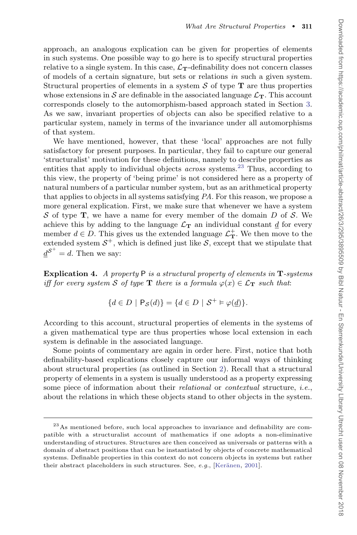approach, an analogous explication can be given for properties of elements in such systems. One possible way to go here is to specify structural properties relative to a single system. In this case,  $\mathcal{L}_{\mathbf{T}}$ -definability does not concern classes of models of a certain signature, but sets or relations in such a given system. Structural properties of elements in a system  $S$  of type  $T$  are thus properties whose extensions in S are definable in the associated language  $\mathcal{L}_{\mathbf{T}}$ . This account corresponds closely to the automorphism-based approach stated in Section [3.](#page-8-0) As we saw, invariant properties of objects can also be specified relative to a particular system, namely in terms of the invariance under all automorphisms of that system.

We have mentioned, however, that these 'local' approaches are not fully satisfactory for present purposes. In particular, they fail to capture our general 'structuralist' motivation for these definitions, namely to describe properties as entities that apply to individual objects *across* systems.<sup>23</sup> Thus, according to this view, the property of 'being prime' is not considered here as a property of natural numbers of a particular number system, but as an arithmetical property that applies to objects in all systems satisfying PA. For this reason, we propose a more general explication. First, we make sure that whenever we have a system S of type **T**, we have a name for every member of the domain D of S. We achieve this by adding to the language  $\mathcal{L}_{\mathbf{T}}$  an individual constant  $\underline{d}$  for every member  $d \in D$ . This gives us the extended language  $\mathcal{L}_{\mathbf{T}}^{+}$ . We then move to the extended system  $S^+$ , which is defined just like S, except that we stipulate that  $\underline{d}^{\mathcal{S}^+} = d$ . Then we say:

**Explication 4.** A property P is a structural property of elements in **T**-systems iff for every system S of type **T** there is a formula  $\varphi(x) \in \mathcal{L}_T$  such that:

$$
\{d \in D \mid \mathsf{P}_{\mathcal{S}}(d)\} = \{d \in D \mid \mathcal{S}^+ \models \varphi(\underline{d})\}.
$$

According to this account, structural properties of elements in the systems of a given mathematical type are thus properties whose local extension in each system is definable in the associated language.

Some points of commentary are again in order here. First, notice that both definability-based explications closely capture our informal ways of thinking about structural properties (as outlined in Section [2\)](#page-3-0). Recall that a structural property of elements in a system is usually understood as a property expressing some piece of information about their relational or contextual structure, i.e., about the relations in which these objects stand to other objects in the system.

<sup>23</sup>As mentioned before, such local approaches to invariance and definability are compatible with a structuralist account of mathematics if one adopts a non-eliminative understanding of structures. Structures are then conceived as universals or patterns with a domain of abstract positions that can be instantiated by objects of concrete mathematical systems. Definable properties in this context do not concern objects in systems but rather their abstract placeholders in such structures. See,  $e.g.,$  [Keränen, [2001\]](#page-27-0).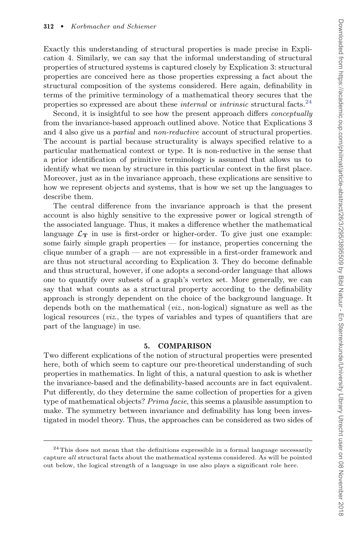<span id="page-17-0"></span>Exactly this understanding of structural properties is made precise in Explication 4. Similarly, we can say that the informal understanding of structural properties of structured systems is captured closely by Explication 3: structural properties are conceived here as those properties expressing a fact about the structural composition of the systems considered. Here again, definability in terms of the primitive terminology of a mathematical theory secures that the properties so expressed are about these *internal* or *intrinsic* structural facts.<sup>24</sup>

Second, it is insightful to see how the present approach differs *conceptually* from the invariance-based approach outlined above. Notice that Explications 3 and 4 also give us a partial and non-reductive account of structural properties. The account is partial because structurality is always specified relative to a particular mathematical context or type. It is non-reductive in the sense that a prior identification of primitive terminology is assumed that allows us to identify what we mean by structure in this particular context in the first place. Moreover, just as in the invariance approach, these explications are sensitive to how we represent objects and systems, that is how we set up the languages to describe them.

The central difference from the invariance approach is that the present account is also highly sensitive to the expressive power or logical strength of the associated language. Thus, it makes a difference whether the mathematical language  $\mathcal{L}_{\mathbf{T}}$  in use is first-order or higher-order. To give just one example: some fairly simple graph properties — for instance, properties concerning the clique number of a graph — are not expressible in a first-order framework and are thus not structural according to Explication 3. They do become definable and thus structural, however, if one adopts a second-order language that allows one to quantify over subsets of a graph's vertex set. More generally, we can say that what counts as a structural property according to the definability approach is strongly dependent on the choice of the background language. It depends both on the mathematical (viz., non-logical) signature as well as the logical resources (viz., the types of variables and types of quantifiers that are part of the language) in use.

#### **5. COMPARISON**

Two different explications of the notion of structural properties were presented here, both of which seem to capture our pre-theoretical understanding of such properties in mathematics. In light of this, a natural question to ask is whether the invariance-based and the definability-based accounts are in fact equivalent. Put differently, do they determine the same collection of properties for a given type of mathematical objects? Prima facie, this seems a plausible assumption to make. The symmetry between invariance and definability has long been investigated in model theory. Thus, the approaches can be considered as two sides of

 $24$ This does not mean that the definitions expressible in a formal language necessarily capture all structural facts about the mathematical systems considered. As will be pointed out below, the logical strength of a language in use also plays a significant role here.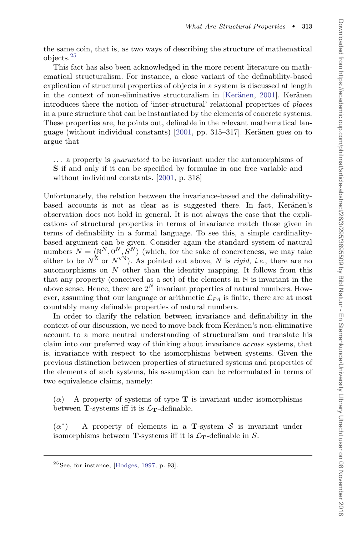the same coin, that is, as two ways of describing the structure of mathematical objects.<sup>25</sup>

This fact has also been acknowledged in the more recent literature on mathematical structuralism. For instance, a close variant of the definability-based explication of structural properties of objects in a system is discussed at length in the context of non-eliminative structuralism in [Keränen, [2001](#page-27-0)]. Keränen introduces there the notion of 'inter-structural' relational properties of places in a pure structure that can be instantiated by the elements of concrete systems. These properties are, he points out, definable in the relevant mathematical language (without individual constants)  $[2001, pp. 315-317]$  $[2001, pp. 315-317]$ . Keränen goes on to argue that

... a property is *guaranteed* to be invariant under the automorphisms of **S** if and only if it can be specified by formulae in one free variable and without individual constants. [\[2001,](#page-27-0) p. 318]

Unfortunately, the relation between the invariance-based and the definabilitybased accounts is not as clear as is suggested there. In fact, Keränen's observation does not hold in general. It is not always the case that the explications of structural properties in terms of invariance match those given in terms of definability in a formal language. To see this, a simple cardinalitybased argument can be given. Consider again the standard system of natural numbers  $N = \langle \mathbb{N}^N, 0^N, S^N \rangle$  (which, for the sake of concreteness, we may take either to be  $N^Z$  or  $N^{\nu N}$ ). As pointed out above, N is rigid, i.e., there are no automorphisms on  $N$  other than the identity mapping. It follows from this that any property (conceived as a set) of the elements in N is invariant in the above sense. Hence, there are  $2^N$  invariant properties of natural numbers. However, assuming that our language or arithmetic  $\mathcal{L}_{PA}$  is finite, there are at most countably many definable properties of natural numbers.

In order to clarify the relation between invariance and definability in the context of our discussion, we need to move back from Keränen's non-eliminative account to a more neutral understanding of structuralism and translate his claim into our preferred way of thinking about invariance across systems, that is, invariance with respect to the isomorphisms between systems. Given the previous distinction between properties of structured systems and properties of the elements of such systems, his assumption can be reformulated in terms of two equivalence claims, namely:

 $(\alpha)$  A property of systems of type **T** is invariant under isomorphisms between **T**-systems iff it is  $\mathcal{L}_{\mathbf{T}}$ -definable.

 $(\alpha^*)$  A property of elements in a **T**-system S is invariant under isomorphisms between **T**-systems iff it is  $\mathcal{L}_{\mathbf{T}}$ -definable in S.

 $25$  See, for instance, [\[Hodges,](#page-27-0) [1997](#page-27-0), p. 93].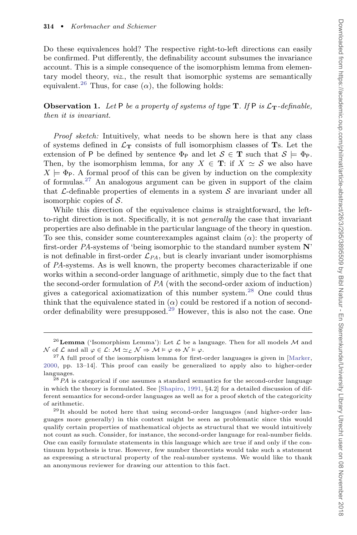Do these equivalences hold? The respective right-to-left directions can easily be confirmed. Put differently, the definability account subsumes the invariance account. This is a simple consequence of the isomorphism lemma from elementary model theory, viz., the result that isomorphic systems are semantically equivalent.<sup>26</sup> Thus, for case  $(\alpha)$ , the following holds:

**Observation 1.** Let P be a property of systems of type **T**. If P is  $\mathcal{L}_T$ -definable, then it is invariant.

Proof sketch: Intuitively, what needs to be shown here is that any class of systems defined in  $\mathcal{L}_{\mathbf{T}}$  consists of full isomorphism classes of  $\mathbf{T}s$ . Let the extension of P be defined by sentence  $\Phi_{\rm P}$  and let  $S \in {\rm T}$  such that  $S \models \Phi_{\rm P}$ . Then, by the isomorphism lemma, for any  $X \in \mathbf{T}$ : if  $X \simeq \mathcal{S}$  we also have  $X \models \Phi_P$ . A formal proof of this can be given by induction on the complexity of formulas.<sup>27</sup> An analogous argument can be given in support of the claim that  $\mathcal{L}\text{-}$ definable properties of elements in a system  $\mathcal{S}$  are invariant under all isomorphic copies of  $S$ .

While this direction of the equivalence claims is straightforward, the leftto-right direction is not. Specifically, it is not generally the case that invariant properties are also definable in the particular language of the theory in question. To see this, consider some counterexamples against claim  $(\alpha)$ : the property of first-order PA-systems of 'being isomorphic to the standard number system **N**' is not definable in first-order  $\mathcal{L}_{PA}$ , but is clearly invariant under isomorphisms of PA-systems. As is well known, the property becomes characterizable if one works within a second-order language of arithmetic, simply due to the fact that the second-order formulation of PA (with the second-order axiom of induction) gives a categorical axiomatization of this number system.<sup>28</sup> One could thus think that the equivalence stated in  $(\alpha)$  could be restored if a notion of secondorder definability were presupposed.<sup>29</sup> However, this is also not the case. One

<sup>&</sup>lt;sup>26</sup>**Lemma** ('Isomorphism Lemma'): Let  $\mathcal{L}$  be a language. Then for all models M and  $\mathcal N$  of  $\mathcal L$  and all  $\varphi \in \mathcal L$ :  $\mathcal M \simeq_{\mathcal L} \mathcal N \Rightarrow \mathcal M \models \varphi \Leftrightarrow \mathcal N \models \varphi$ .

 $27A$  full proof of the isomorphism lemma for first-order languages is given in [\[Marker](#page-27-0), [2000,](#page-27-0) pp. 13–14]. This proof can easily be generalized to apply also to higher-order languages.

 $28$  PA is categorical if one assumes a standard semantics for the second-order language in which the theory is formulated. See [\[Shapiro](#page-27-0), [1991](#page-27-0), §4.2] for a detailed discussion of different semantics for second-order languages as well as for a proof sketch of the categoricity of arithmetic.

 $^{29}$ It should be noted here that using second-order languages (and higher-order languages more generally) in this context might be seen as problematic since this would qualify certain properties of mathematical objects as structural that we would intuitively not count as such. Consider, for instance, the second-order language for real-number fields. One can easily formulate statements in this language which are true if and only if the continuum hypothesis is true. However, few number theoretists would take such a statement as expressing a structural property of the real-number systems. We would like to thank an anonymous reviewer for drawing our attention to this fact.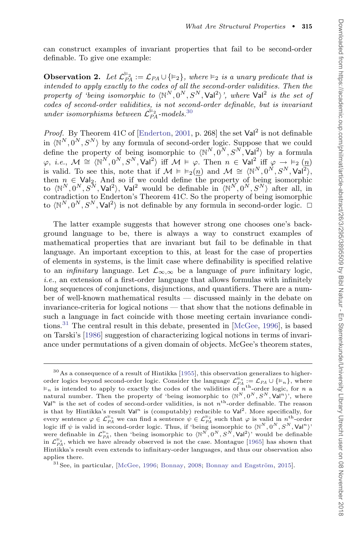can construct examples of invariant properties that fail to be second-order definable. To give one example:

**Observation 2.** Let  $\mathcal{L}_{PA}^{\vDash_2} := \mathcal{L}_{PA} \cup \{\vDash_2\}$ , where  $\vDash_2$  is a unary predicate that is intended to apply exactly to the codes of all the second-order validities. Then the property of 'being isomorphic to  $\langle \mathbb{N}^N, 0^N, S^N, \mathsf{Val}^2 \rangle$ ', where  $\mathsf{Val}^2$  is the set of codes of second-order validities, is not second-order definable, but is invariant under isomorphisms between  $\mathcal{L}_{PA}^{\vDash_2}$ -models.<sup>30</sup>

*Proof.* By Theorem 41C of [\[Enderton,](#page-27-0) [2001](#page-27-0), p. 268] the set  $Val^2$  is not definable in  $\langle \mathbb{N}^N, 0^N, S^N \rangle$  by any formula of second-order logic. Suppose that we could define the property of being isomorphic to  $\langle N^N, 0^N, S^N, \mathsf{Val}^2 \rangle$  by a formula  $\varphi$ , *i.e.*,  $\mathcal{M} \cong \langle \mathbb{N}^N, 0^N, S^N, \mathsf{Val}^2 \rangle$  iff  $\mathcal{M} \models \varphi$ . Then  $n \in \mathsf{Val}^2$  iff  $\varphi \to \models_2 (\underline{n})$ is valid. To see this, note that if  $M \models \vDash_2(\underline{n})$  and  $M \cong \langle \mathbb{N}^N, 0^N, S^N, \text{Val}^2 \rangle$ , then  $n \in \text{Val}_2$ . And so if we could define the property of being isomorphic to  $\langle N^N, 0^N, S^N, \mathrm{Val}^2 \rangle$ ,  $\mathrm{Val}^2$  would be definable in  $\langle N^N, 0^N, S^N \rangle$  after all, in contradiction to Enderton's Theorem 41C. So the property of being isomorphic to  $\langle \mathbb{N}^N, 0^N, S^N, \mathsf{Val}^2 \rangle$  is not definable by any formula in second-order logic.  $\Box$ 

The latter example suggests that however strong one chooses one's background language to be, there is always a way to construct examples of mathematical properties that are invariant but fail to be definable in that language. An important exception to this, at least for the case of properties of elements in systems, is the limit case where definability is specified relative to an *infinitary* language. Let  $\mathcal{L}_{\infty,\infty}$  be a language of *pure* infinitary logic, i.e., an extension of a first-order language that allows formulas with infinitely long sequences of conjunctions, disjunctions, and quantifiers. There are a number of well-known mathematical results — discussed mainly in the debate on invariance-criteria for logical notions — that show that the notions definable in such a language in fact coincide with those meeting certain invariance conditions.<sup>31</sup> The central result in this debate, presented in  $[McGee, 1996]$  $[McGee, 1996]$  $[McGee, 1996]$ , is based on Tarski's [\[1986\]](#page-28-0) suggestion of characterizing logical notions in terms of invariance under permutations of a given domain of objects. McGee's theorem states,

 $30\text{ As a consequence of a result of Hintikka [1955], this observation generalizes to higher 30\text{ As a consequence of a result of Hintikka [1955], this observation generalizes to higher 30\text{ As a consequence of a result of Hintikka [1955], this observation generalizes to higher$ order logics beyond second-order logic. Consider the language  $\mathcal{L}_{PA}^{\vDash_n} := \mathcal{L}_{PA} \cup \{\vDash_n\}$ , where  $\vDash_n$  is intended to apply to exactly the codes of the validities of  $\overrightarrow{n}^{th}$ -order logic, for n a natural number. Then the property of 'being isomorphic to  $\langle N^N, 0^N, S^N, \mathrm{Val}^n \rangle$ ', where Val<sup>n</sup> is the set of codes of second-order validities, is not  $n<sup>th</sup>$ -order definable. The reason is that by Hintikka's result  $Val<sup>n</sup>$  is (computably) reducible to  $Val<sup>2</sup>$ . More specifically, for every sentence  $\varphi \in \mathcal{L}_{PA}^{\vDash_n}$  we can find a sentence  $\psi \in \mathcal{L}_{PA}^{\vDash_2}$  such that  $\varphi$  is valid in  $n^{\text{th}}$ -order logic iff  $\psi$  is valid in second-order logic. Thus, if 'being isomorphic to  $\langle \mathbb{N}^N, 0^N, S^N, \mathsf{Val}^n \rangle$ ' were definable in  $\mathcal{L}_{PA}^{\vDash_n}$ , then 'being isomorphic to  $\langle \mathbb{N}^N, 0^N, S^N, \mathsf{Val}^2 \rangle$ ' would be definable in  $\mathcal{L}_{PA}^{\vDash_2}$ , which we have already observed is not the case. Montague [\[1965\]](#page-27-0) has shown that Hintikka's result even extends to infinitary-order languages, and thus our observation also applies there.

 $31$  See, in particular, [\[McGee,](#page-27-0) [1996;](#page-27-0) [Bonnay](#page-26-0), [2008;](#page-26-0) Bonnay and Engström, [2015\]](#page-26-0).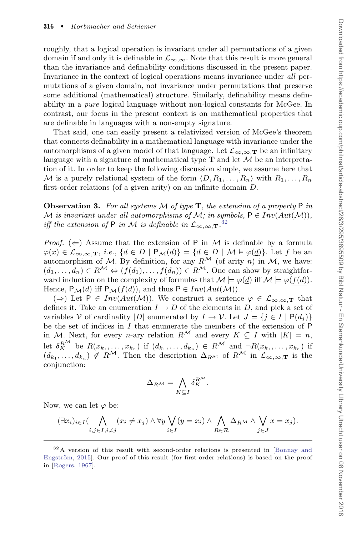roughly, that a logical operation is invariant under all permutations of a given domain if and only it is definable in  $\mathcal{L}_{\infty,\infty}$ . Note that this result is more general than the invariance and definability conditions discussed in the present paper. Invariance in the context of logical operations means invariance under all permutations of a given domain, not invariance under permutations that preserve some additional (mathematical) structure. Similarly, definability means definability in a pure logical language without non-logical constants for McGee. In contrast, our focus in the present context is on mathematical properties that are definable in languages with a non-empty signature.

That said, one can easily present a relativized version of McGee's theorem that connects definability in a mathematical language with invariance under the automorphisms of a given model of that language. Let  $\mathcal{L}_{\infty,\infty,\mathbf{T}}$  be an infinitary language with a signature of mathematical type  $T$  and let  $M$  be an interpretation of it. In order to keep the following discussion simple, we assume here that M is a purely relational system of the form  $\langle D, R_1, \ldots, R_n \rangle$  with  $R_1, \ldots, R_n$ first-order relations (of a given arity) on an infinite domain D.

**Observation 3.** For all systems M of type **T**, the extension of a property P in M is invariant under all automorphisms of M; in symbols,  $P \in Inv(Aut(M)),$ iff the extension of P in M is definable in  $\mathcal{L}_{\infty,\infty,\mathbf{T}}$ .<sup>32</sup>

*Proof.* ( $\Leftarrow$ ) Assume that the extension of P in M is definable by a formula  $\varphi(x) \in \mathcal{L}_{\infty,\infty,\mathbf{T}}$ , *i.e.*,  $\{d \in D \mid \mathsf{P}_{\mathcal{M}}(d)\} = \{d \in D \mid \mathcal{M} \models \varphi(\underline{d})\}$ . Let f be an automorphism of M. By definition, for any  $R^{\mathcal{M}}$  (of arity n) in M, we have:  $(d_1,\ldots,d_n) \in R^{\mathcal{M}} \Leftrightarrow (f(d_1),\ldots,f(d_n)) \in R^{\mathcal{M}}$ . One can show by straightforward induction on the complexity of formulas that  $\mathcal{M} \models \varphi(d)$  iff  $\mathcal{M} \models \varphi(f(d)).$ Hence,  $P_{\mathcal{M}}(d)$  iff  $P_{\mathcal{M}}(f(d))$ , and thus  $P \in Inv(Aut(\mathcal{M}))$ .

(⇒) Let P  $\in Inv(Aut(\mathcal{M}))$ . We construct a sentence  $\varphi \in \mathcal{L}_{\infty,\infty,T}$  that defines it. Take an enumeration  $I \rightarrow D$  of the elements in D, and pick a set of variables V of cardinality |D| enumerated by  $I \to V$ . Let  $J = \{j \in I \mid P(d_j)\}\$ be the set of indices in I that enumerate the members of the extension of P in M. Next, for every n-ary relation  $R^{\mathcal{M}}$  and every  $K \subseteq I$  with  $|K| = n$ , let  $\delta_{K}^{R^{\mathcal{M}}}$  be  $R(x_{k_1},...,x_{k_n})$  if  $(d_{k_1},...,d_{k_n}) \in R^{\mathcal{M}}$  and  $\neg R(x_{k_1},...,x_{k_n})$  if  $(d_{k_1},\ldots,d_{k_n}) \notin R^{\mathcal{M}}$ . Then the description  $\Delta_{R^{\mathcal{M}}}$  of  $R^{\mathcal{M}}$  in  $\mathcal{L}_{\infty,\infty,\mathbf{T}}$  is the conjunction:

$$
\Delta_{R^{\mathcal{M}}} = \bigwedge_{K \subseteq I} \delta_{K}^{R^{\mathcal{M}}}.
$$

Now, we can let  $\varphi$  be:

$$
(\exists x_i)_{i \in I} (\bigwedge_{i,j \in I, i \neq j} (x_i \neq x_j) \wedge \forall y \bigvee_{i \in I} (y = x_i) \wedge \bigwedge_{R \in \mathcal{R}} \Delta_{R^{\mathcal{M}}} \wedge \bigvee_{j \in J} x = x_j).
$$

<sup>&</sup>lt;sup>32</sup>A v[ersion of this result with second-order relations is presented in \[](#page-26-0)Bonnay and Engström, [2015](#page-26-0)]. Our proof of this result (for first-order relations) is based on the proof in [\[Rogers,](#page-27-0) [1967\]](#page-27-0).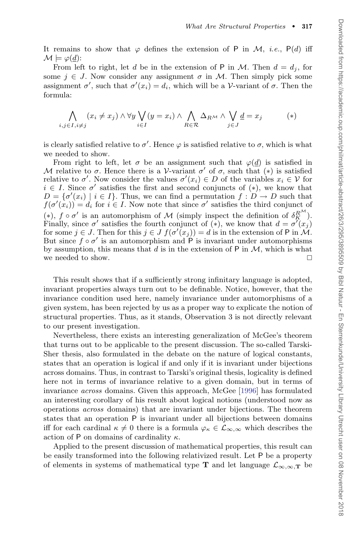It remains to show that  $\varphi$  defines the extension of P in M, *i.e.*, P(d) iff  $\mathcal{M} \models \varphi(d)$ :

From left to right, let d be in the extension of P in M. Then  $d = d_i$ , for some  $j \in J$ . Now consider any assignment  $\sigma$  in M. Then simply pick some assignment  $\sigma'$ , such that  $\sigma'(x_i) = d_i$ , which will be a V-variant of  $\sigma$ . Then the formula:

$$
\bigwedge_{i,j\in I, i\neq j} (x_i \neq x_j) \land \forall y \bigvee_{i\in I} (y = x_i) \land \bigwedge_{R\in \mathcal{R}} \Delta_{R^{\mathcal{M}}} \land \bigvee_{j\in J} \underline{d} = x_j \qquad (*)
$$

is clearly satisfied relative to  $\sigma'$ . Hence  $\varphi$  is satisfied relative to  $\sigma$ , which is what we needed to show.

From right to left, let  $\sigma$  be an assignment such that  $\varphi(d)$  is satisfied in M relative to  $\sigma$ . Hence there is a V-variant  $\sigma'$  of  $\sigma$ , such that  $(*)$  is satisfied relative to  $\sigma'$ . Now consider the values  $\sigma'(x_i) \in D$  of the variables  $x_i \in V$  for  $i \in I$ . Since  $\sigma'$  satisfies the first and second conjuncts of  $(*)$ , we know that  $D = \{\sigma'(x_i) \mid i \in I\}$ . Thus, we can find a permutation  $f: D \to D$  such that  $f(\sigma'(\hat{x}_i)) = d_i$  for  $i \in I$ . Now note that since  $\sigma'$  satisfies the third conjunct of (\*),  $f \circ \sigma'$  is an automorphism of M (simply inspect the definition of  $\delta_K^{R^{\mathcal{M}}}$ ). Finally, since  $\sigma'$  satisfies the fourth conjunct of  $(\cdot)$ , we know that  $d = \sigma'(x_j)$ for some  $j \in J$ . Then for this  $j \in J$   $f(\sigma'(x_j)) = d$  is in the extension of P in  $\mathcal{M}$ . But since  $f \circ \sigma'$  is an automorphism and P is invariant under automorphisms by assumption, this means that d is in the extension of  $P$  in  $M$ , which is what we needed to show.  $\Box$ 

This result shows that if a sufficiently strong infinitary language is adopted, invariant properties always turn out to be definable. Notice, however, that the invariance condition used here, namely invariance under automorphisms of a given system, has been rejected by us as a proper way to explicate the notion of structural properties. Thus, as it stands, Observation 3 is not directly relevant to our present investigation.

Nevertheless, there exists an interesting generalization of McGee's theorem that turns out to be applicable to the present discussion. The so-called Tarski-Sher thesis, also formulated in the debate on the nature of logical constants, states that an operation is logical if and only if it is invariant under bijections across domains. Thus, in contrast to Tarski's original thesis, logicality is defined here not in terms of invariance relative to a given domain, but in terms of invariance across domains. Given this approach, McGee [\[1996](#page-27-0)] has formulated an interesting corollary of his result about logical notions (understood now as operations across domains) that are invariant under bijections. The theorem states that an operation P is invariant under all bijections between domains iff for each cardinal  $\kappa \neq 0$  there is a formula  $\varphi_{\kappa} \in \mathcal{L}_{\infty,\infty}$  which describes the action of P on domains of cardinality  $\kappa$ .

Applied to the present discussion of mathematical properties, this result can be easily transformed into the following relativized result. Let P be a property of elements in systems of mathematical type **T** and let language  $\mathcal{L}_{\infty,\infty,\mathbf{T}}$  be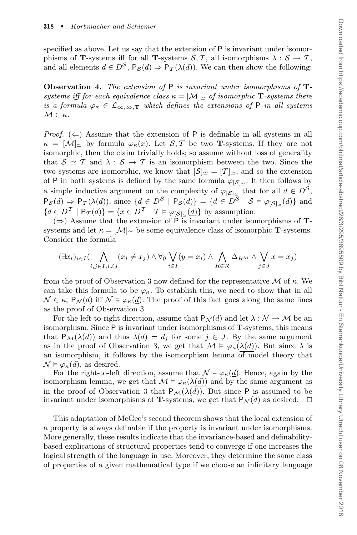specified as above. Let us say that the extension of P is invariant under isomorphisms of **T**-systems iff for all **T**-systems  $S, T$ , all isomorphisms  $\lambda : S \to T$ , and all elements  $d \in D^S$ ,  $P_S(d) \Rightarrow P_{\mathcal{T}}(\lambda(d))$ . We can then show the following:

**Observation 4.** The extension of P is invariant under isomorphisms of **T**systems iff for each equivalence class  $\kappa = [\mathcal{M}]_{\simeq}$  of isomorphic **T**-systems there is a formula  $\varphi_{\kappa} \in \mathcal{L}_{\infty,\infty,\mathbf{T}}$  which defines the extensions of P in all systems  $\mathcal{M} \in \kappa$ .

*Proof.*  $(\Leftarrow)$  Assume that the extension of P is definable in all systems in all  $\kappa = [\mathcal{M}]_{\simeq}$  by formula  $\varphi_{\kappa}(x)$ . Let  $\mathcal{S}, \mathcal{T}$  be two **T**-systems. If they are not isomorphic, then the claim trivially holds; so assume without loss of generality that  $S \simeq T$  and  $\lambda : S \to T$  is an isomorphism between the two. Since the two systems are isomorphic, we know that  $[\mathcal{S}]_{\simeq} = [T]_{\simeq}$ , and so the extension of P in both systems is defined by the same formula  $\varphi_{\vert \mathcal{S} \vert_{\infty}}$ . It then follows by a simple inductive argument on the complexity of  $\varphi_{\lbrack \mathcal{S}\rbrack_{\simeq}}$  that for all  $d\in D^{\mathcal{S}},$  $P_{\mathcal{S}}(d) \Rightarrow P_{\mathcal{T}}(\lambda(d)),$  since  $\{d \in D^{\mathcal{S}} \mid P_{\mathcal{S}}(d)\} = \{d \in D^{\mathcal{S}} \mid \mathcal{S} \models \varphi_{[\mathcal{S}]_{\simeq}}(d)\}\$ and  $\{d \in D^{\mathcal{T}} \mid \mathsf{P}_{\mathcal{T}}(d)\} = \{x \in D^{\mathcal{T}} \mid \mathcal{T} \models \varphi_{[\mathcal{S}]_{\simeq}}(d)\}\$  by assumption.

 $(\Rightarrow)$  Assume that the extension of P is invariant under isomorphisms of **T**systems and let  $\kappa = [\mathcal{M}]_{\simeq}$  be some equivalence class of isomorphic **T**-systems. Consider the formula

$$
(\exists x_i)_{i \in I} (\bigwedge_{i,j \in I, i \neq j} (x_i \neq x_j) \land \forall y \bigvee_{i \in I} (y = x_i) \land \bigwedge_{R \in \mathcal{R}} \Delta_{R^{\mathcal{M}}} \land \bigvee_{j \in J} x = x_j)
$$

from the proof of Observation 3 now defined for the representative M of  $\kappa$ . We can take this formula to be  $\varphi_{\kappa}$ . To establish this, we need to show that in all  $\mathcal{N} \in \kappa$ ,  $P_{\mathcal{N}}(d)$  iff  $\mathcal{N} \models \varphi_{\kappa}(d)$ . The proof of this fact goes along the same lines as the proof of Observation 3.

For the left-to-right direction, assume that  $P_N(d)$  and let  $\lambda : \mathcal{N} \to \mathcal{M}$  be an isomorphism. Since P is invariant under isomorphisms of **T**-systems, this means that  $P_{\mathcal{M}}(\lambda(d))$  and thus  $\lambda(d) = d_i$  for some  $j \in J$ . By the same argument as in the proof of Observation 3, we get that  $\mathcal{M} \models \varphi_{\kappa}(\lambda(d))$ . But since  $\lambda$  is an isomorphism, it follows by the isomorphism lemma of model theory that  $\mathcal{N} \models \varphi_{\kappa}(\underline{d})$ , as desired.

For the right-to-left direction, assume that  $\mathcal{N} \models \varphi_{\kappa}(\underline{d})$ . Hence, again by the isomorphism lemma, we get that  $\mathcal{M} \models \varphi_{\kappa}(\lambda(d))$  and by the same argument as in the proof of Observation 3 that  $P_{\mathcal{M}}(\lambda(d))$ . But since P is assumed to be invariant under isomorphisms of **T**-systems, we get that  $P_N(d)$  as desired.  $\Box$ 

This adaptation of McGee's second theorem shows that the local extension of a property is always definable if the property is invariant under isomorphisms. More generally, these results indicate that the invariance-based and definabilitybased explications of structural properties tend to converge if one increases the logical strength of the language in use. Moreover, they determine the same class of properties of a given mathematical type if we choose an infinitary language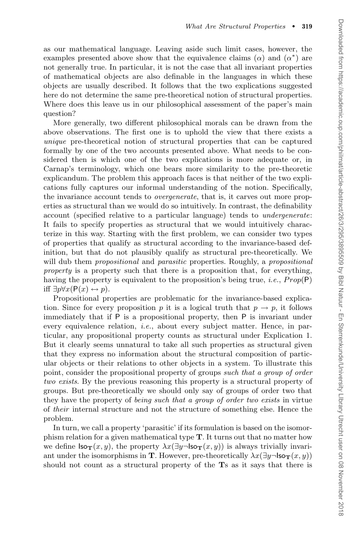as our mathematical language. Leaving aside such limit cases, however, the examples presented above show that the equivalence claims  $(\alpha)$  and  $(\alpha^*)$  are not generally true. In particular, it is not the case that all invariant properties of mathematical objects are also definable in the languages in which these objects are usually described. It follows that the two explications suggested here do not determine the same pre-theoretical notion of structural properties. Where does this leave us in our philosophical assessment of the paper's main question?

More generally, two different philosophical morals can be drawn from the above observations. The first one is to uphold the view that there exists a unique pre-theoretical notion of structural properties that can be captured formally by one of the two accounts presented above. What needs to be considered then is which one of the two explications is more adequate or, in Carnap's terminology, which one bears more similarity to the pre-theoretic explicandum. The problem this approach faces is that neither of the two explications fully captures our informal understanding of the notion. Specifically, the invariance account tends to overgenerate, that is, it carves out more properties as structural than we would do so intuitively. In contrast, the definability account (specified relative to a particular language) tends to undergenerate: It fails to specify properties as structural that we would intuitively characterize in this way. Starting with the first problem, we can consider two types of properties that qualify as structural according to the invariance-based definition, but that do not plausibly qualify as structural pre-theoretically. We will dub them *propositional* and *parasitic* properties. Roughly, a *propositional* property is a property such that there is a proposition that, for everything, having the property is equivalent to the proposition's being true, i.e.,  $Prop(P)$ iff  $\exists p \forall x (P(x) \leftrightarrow p)$ .

Propositional properties are problematic for the invariance-based explication. Since for every proposition p it is a logical truth that  $p \to p$ , it follows immediately that if P is a propositional property, then P is invariant under every equivalence relation, i.e., about every subject matter. Hence, in particular, any propositional property counts as structural under Explication 1. But it clearly seems unnatural to take all such properties as structural given that they express no information about the structural composition of particular objects or their relations to other objects in a system. To illustrate this point, consider the propositional property of groups such that a group of order two exists. By the previous reasoning this property is a structural property of groups. But pre-theoretically we should only say of groups of order two that they have the property of being such that a group of order two exists in virtue of their internal structure and not the structure of something else. Hence the problem.

In turn, we call a property 'parasitic' if its formulation is based on the isomorphism relation for a given mathematical type **T**. It turns out that no matter how we define  $\textsf{Iso}_{\textbf{T}}(x, y)$ , the property  $\lambda x(\exists y \neg \textsf{Iso}_{\textbf{T}}(x, y))$  is always trivially invariant under the isomorphisms in **T**. However, pre-theoretically  $\lambda x(\exists y \neg \text{Iso}_{\text{T}}(x, y))$ should not count as a structural property of the **T**s as it says that there is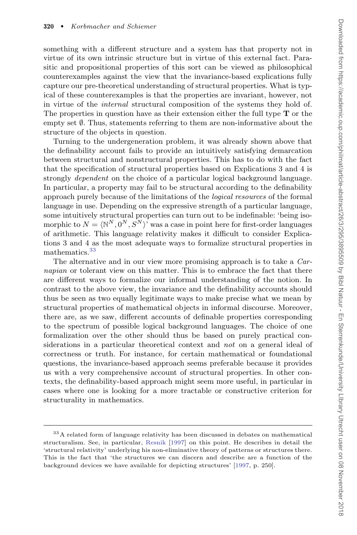something with a different structure and a system has that property not in virtue of its own intrinsic structure but in virtue of this external fact. Parasitic and propositional properties of this sort can be viewed as philosophical counterexamples against the view that the invariance-based explications fully capture our pre-theoretical understanding of structural properties. What is typical of these counterexamples is that the properties are invariant, however, not in virtue of the internal structural composition of the systems they hold of. The properties in question have as their extension either the full type **T** or the empty set  $\emptyset$ . Thus, statements referring to them are non-informative about the structure of the objects in question.

Turning to the undergeneration problem, it was already shown above that the definability account fails to provide an intuitively satisfying demarcation between structural and nonstructural properties. This has to do with the fact that the specification of structural properties based on Explications 3 and 4 is strongly dependent on the choice of a particular logical background language. In particular, a property may fail to be structural according to the definability approach purely because of the limitations of the logical resources of the formal language in use. Depending on the expressive strength of a particular language, some intuitively structural properties can turn out to be indefinable: 'being isomorphic to  $N = \langle \mathbb{N}^N, 0^N, S^N \rangle$  was a case in point here for first-order languages of arithmetic. This language relativity makes it difficult to consider Explications 3 and 4 as the most adequate ways to formalize structural properties in mathematics.<sup>33</sup>

The alternative and in our view more promising approach is to take a Carnapian or tolerant view on this matter. This is to embrace the fact that there are different ways to formalize our informal understanding of the notion. In contrast to the above view, the invariance and the definability accounts should thus be seen as two equally legitimate ways to make precise what we mean by structural properties of mathematical objects in informal discourse. Moreover, there are, as we saw, different accounts of definable properties corresponding to the spectrum of possible logical background languages. The choice of one formalization over the other should thus be based on purely practical considerations in a particular theoretical context and not on a general ideal of correctness or truth. For instance, for certain mathematical or foundational questions, the invariance-based approach seems preferable because it provides us with a very comprehensive account of structural properties. In other contexts, the definability-based approach might seem more useful, in particular in cases where one is looking for a more tractable or constructive criterion for structurality in mathematics.

<sup>33</sup>A related form of language relativity has been discussed in debates on mathematical structuralism. See, in particular, [Resnik](#page-27-0) [\[1997](#page-27-0)] on this point. He describes in detail the 'structural relativity' underlying his non-eliminative theory of patterns or structures there. This is the fact that 'the structures we can discern and describe are a function of the background devices we have available for depicting structures' [\[1997](#page-27-0), p. 250].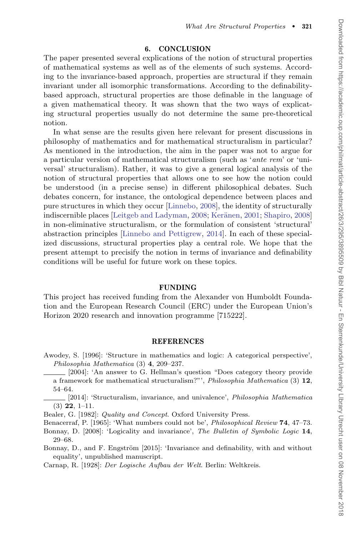# **6. CONCLUSION**

<span id="page-26-0"></span>The paper presented several explications of the notion of structural properties of mathematical systems as well as of the elements of such systems. According to the invariance-based approach, properties are structural if they remain invariant under all isomorphic transformations. According to the definabilitybased approach, structural properties are those definable in the language of a given mathematical theory. It was shown that the two ways of explicating structural properties usually do not determine the same pre-theoretical notion.

In what sense are the results given here relevant for present discussions in philosophy of mathematics and for mathematical structuralism in particular? As mentioned in the introduction, the aim in the paper was not to argue for a particular version of mathematical structuralism (such as 'ante rem' or 'universal' structuralism). Rather, it was to give a general logical analysis of the notion of structural properties that allows one to see how the notion could be understood (in a precise sense) in different philosophical debates. Such debates concern, for instance, the ontological dependence between places and pure structures in which they occur [\[Linnebo](#page-27-0), [2008](#page-27-0)], the identity of structurally indiscernible places [\[Leitgeb and Ladyman,](#page-27-0) [2008](#page-27-0); Keränen, [2001;](#page-27-0) [Shapiro](#page-27-0), [2008\]](#page-27-0) in non-eliminative structuralism, or the formulation of consistent 'structural' abstraction principles [\[Linnebo and Pettigrew,](#page-27-0) [2014](#page-27-0)]. In each of these specialized discussions, structural properties play a central role. We hope that the present attempt to precisify the notion in terms of invariance and definability conditions will be useful for future work on these topics.

## **FUNDING**

This project has received funding from the Alexander von Humboldt Foundation and the European Research Council (ERC) under the European Union's Horizon 2020 research and innovation programme [715222].

#### **REFERENCES**

- Awodey, S. [1996]: 'Structure in mathematics and logic: A categorical perspective', Philosophia Mathematica (3) **4**, 209–237.
	- [2004]: 'An answer to G. Hellman's question "Does category theory provide a framework for mathematical structuralism?"', Philosophia Mathematica (3) **12**, 54–64.
	- [2014]: 'Structuralism, invariance, and univalence', Philosophia Mathematica (3) **22**, 1–11.
- Bealer, G. [1982]: Quality and Concept. Oxford University Press.
- Benacerraf, P. [1965]: 'What numbers could not be', Philosophical Review **74**, 47–73.
- Bonnay, D. [2008]: 'Logicality and invariance', The Bulletin of Symbolic Logic **14**, 29–68.
- Bonnay, D., and F. Engström [2015]: 'Invariance and definability, with and without equality', unpublished manuscript.
- Carnap, R. [1928]: Der Logische Aufbau der Welt. Berlin: Weltkreis.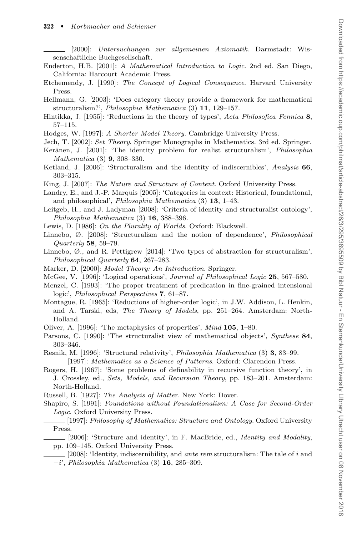<span id="page-27-0"></span>[2000]: Untersuchungen zur allgemeinen Axiomatik. Darmstadt: Wissenschaftliche Buchgesellschaft.

- Enderton, H.B. [2001]: A Mathematical Introduction to Logic. 2nd ed. San Diego, California: Harcourt Academic Press.
- Etchemendy, J. [1990]: The Concept of Logical Consequence. Harvard University Press.
- Hellmann, G. [2003]: 'Does category theory provide a framework for mathematical structuralism?', Philosophia Mathematica (3) **11**, 129–157.
- Hintikka, J. [1955]: 'Reductions in the theory of types', Acta Philosofica Fennica **8**, 57–115.
- Hodges, W. [1997]: A Shorter Model Theory. Cambridge University Press.
- Jech, T. [2002]: Set Theory. Springer Monographs in Mathematics. 3rd ed. Springer. Keränen, J. [2001]: 'The identity problem for realist structuralism', Philosophia
- Mathematica (3) **9**, 308–330.
- Ketland, J. [2006]: 'Structuralism and the identity of indiscernibles', Analysis **66**, 303–315.
- King, J. [2007]: The Nature and Structure of Content. Oxford University Press.
- Landry, E., and J.-P. Marquis [2005]: 'Categories in context: Historical, foundational, and philosophical', Philosophia Mathematica (3) **13**, 1–43.
- Leitgeb, H., and J. Ladyman [2008]: 'Criteria of identity and structuralist ontology', Philosophia Mathematica (3) **16**, 388–396.
- Lewis, D. [1986]: On the Plurality of Worlds. Oxford: Blackwell.
- Linnebo, Ø. [2008]: 'Structuralism and the notion of dependence', Philosophical Quarterly **58**, 59–79.
- Linnebo, Ø., and R. Pettigrew [2014]: 'Two types of abstraction for structuralism', Philosophical Quarterly **64**, 267–283.
- Marker, D. [2000]: Model Theory: An Introduction. Springer.
- McGee, V. [1996]: 'Logical operations', Journal of Philosophical Logic **25**, 567–580.
- Menzel, C. [1993]: 'The proper treatment of predication in fine-grained intensional logic', Philosophical Perspectives **7**, 61–87.
- Montague, R. [1965]: 'Reductions of higher-order logic', in J.W. Addison, L. Henkin, and A. Tarski, eds, The Theory of Models, pp. 251–264. Amsterdam: North-Holland.
- Oliver, A. [1996]: 'The metaphysics of properties', Mind **105**, 1–80.
- Parsons, C. [1990]: 'The structuralist view of mathematical objects', Synthese **84**, 303–346.
- Resnik, M. [1996]: 'Structural relativity', Philosophia Mathematica (3) **3**, 83–99.

 $\Box$  [1997]: *Mathematics as a Science of Patterns.* Oxford: Clarendon Press.

- Rogers, H. [1967]: 'Some problems of definability in recursive function theory', in J. Crossley, ed., Sets, Models, and Recursion Theory, pp. 183–201. Amsterdam: North-Holland.
- Russell, B. [1927]: The Analysis of Matter. New York: Dover.
- Shapiro, S. [1991]: Foundations without Foundationalism: A Case for Second-Order Logic. Oxford University Press.
	- $[1997]$ : Philosophy of Mathematics: Structure and Ontology. Oxford University Press.
	- $\sim$  [2006]: 'Structure and identity', in F. MacBride, ed., *Identity and Modality*, pp. 109–145. Oxford University Press.
		- $\lfloor 2008 \rfloor$ : 'Identity, indiscernibility, and *ante rem* structuralism: The tale of i and −i', Philosophia Mathematica (3) **16**, 285–309.